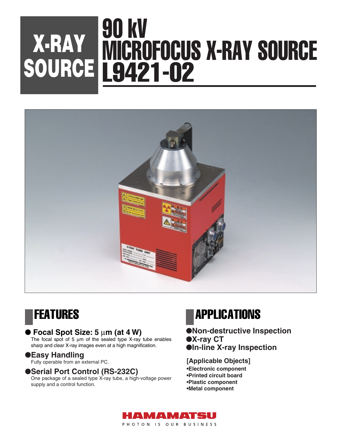## 90 kV MICROFOCUS X-RAY SOURCE L9421-02 **X-RAY SOURCE**



### ● **Focal Spot Size: 5** µ**m (at 4 W)**

The focal spot of 5  $\mu$ m of the sealed type X-ray tube enables sharp and clear X-ray images even at a high magnification.

### ●**Easy Handling**

Fully operable from an external PC.

### ●**Serial Port Control (RS-232C)**

One package of a sealed type X-ray tube, a high-voltage power supply and a control function.

## **FEATURES APPLICATIONS**

●**Non-destructive Inspection** ●**X-ray CT** ●**In-line X-ray Inspection**

### **[Applicable Objects]**

- **•Electronic component**
- **•Printed circuit board**
- **•Plastic component**
- **•Metal component**

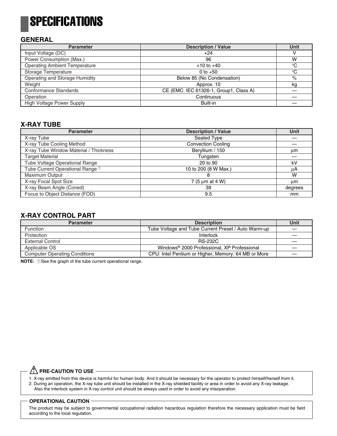## **SPECIFICATIONS**

#### **GENERAL**

| <b>Parameter</b>                     | <b>Description / Value</b>             | <b>Unit</b> |
|--------------------------------------|----------------------------------------|-------------|
| Input Voltage (DC)                   | $+24$                                  |             |
| Power Consumption (Max.)             | 96                                     | W           |
| <b>Operating Ambient Temperature</b> | $+10$ to $+40$                         | $^{\circ}C$ |
| Storage Temperature                  | 0 to $+50$                             | $^{\circ}C$ |
| Operating and Storage Humidity       | Below 85 (No Condensation)             | $\%$        |
| Weight                               | Approx. 10                             | kg          |
| Conformance Standards                | CE (EMC: IEC 61326-1, Group1, Class A) |             |
| Operation                            | Continuous                             |             |
| <b>High Voltage Power Supply</b>     | Built-in                               |             |

### **X-RAY TUBE**

| <b>Parameter</b>                             | <b>Description / Value</b> | <b>Unit</b> |
|----------------------------------------------|----------------------------|-------------|
| X-ray Tube                                   | Sealed Type                |             |
| X-ray Tube Cooling Method                    | <b>Convection Cooling</b>  |             |
| X-ray Tube Window Material / Thickness       | Beryllium / 150            | μm          |
| <b>Target Material</b>                       | Tungsten                   |             |
| Tube Voltage Operational Range               | 20 to 90                   | kV          |
| Tube Current Operational Range <sup>10</sup> | 10 to 200 (8 W Max.)       | μA          |
| Maximum Output                               | 8                          | W           |
| X-ray Focal Spot Size                        | 7 (5 $\mu$ m at 4 W)       | μm          |
| X-ray Beam Angle (Coned)                     | 39                         | degrees     |
| Focus to Object Distance (FOD)               | 9.5                        | mm          |

### **X-RAY CONTROL PART**

| <b>Parameter</b>                     | <b>Description</b>                                      | <b>Unit</b> |
|--------------------------------------|---------------------------------------------------------|-------------|
| <b>Function</b>                      | Tube Voltage and Tube Current Preset / Auto Warm-up     |             |
| Protection                           | Interlock                                               |             |
| <b>External Control</b>              | <b>RS-232C</b>                                          |             |
| Applicable OS                        | Windows <sup>®</sup> 2000 Professional, XP Professional |             |
| <b>Computer Operating Conditions</b> | CPU: Intel Pentium or Higher, Memory: 64 MB or More     |             |

**NOTE:** 1See the graph of the tube current operational range.

### **PRE-CAUTION TO USE !**

1. X-ray emitted from this device is harmful for human body. And it should be necessary for the operator to protect himself/herself from it. 2. During an operation, the X-ray tube unit should be installed in the X-ray shielded facility or area in order to avoid any X-ray leakage. Also the interlock system in X-ray control unit should be always used in order to avoid any misoperation.

#### **OPERATIONAL CAUTION**

The product may be subject to governmental occupational radiation hazardous regulation therefore the necessary application must be field according to the local regulation.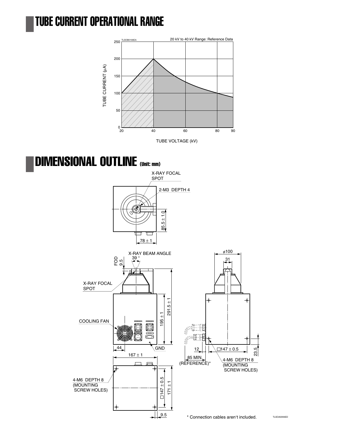## TUBE CURRENT OPERATIONAL RANGE



## DIMENSIONAL OUTLINE (Unit: mm)



TLSOA0093ED